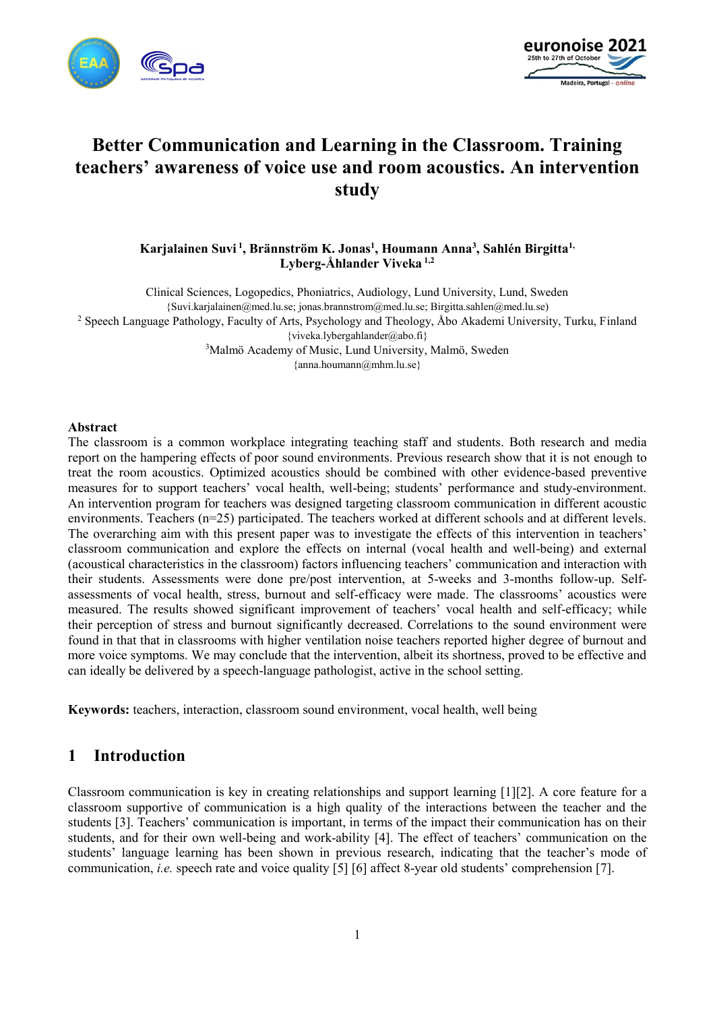



# **Better Communication and Learning in the Classroom. Training teachers' awareness of voice use and room acoustics. An intervention study**

**Karjalainen Suvi <sup>1</sup> , Brännström K. Jonas<sup>1</sup> , Houmann Anna<sup>3</sup> , Sahlén Birgitta1, Lyberg-Åhlander Viveka 1,2**

Clinical Sciences, Logopedics, Phoniatrics, Audiology, Lund University, Lund, Sweden {Suvi.karjalainen@med.lu.se; jonas.brannstrom@med.lu.se; Birgitta.sahlen@med.lu.se) <sup>2</sup> Speech Language Pathology, Faculty of Arts, Psychology and Theology, Åbo Akademi University, Turku, Finland {viveka.lybergahlander@abo.fi} <sup>3</sup>Malmö Academy of Music, Lund University, Malmö, Sweden {anna.houmann@mhm.lu.se}

#### **Abstract**

The classroom is a common workplace integrating teaching staff and students. Both research and media report on the hampering effects of poor sound environments. Previous research show that it is not enough to treat the room acoustics. Optimized acoustics should be combined with other evidence-based preventive measures for to support teachers' vocal health, well-being; students' performance and study-environment. An intervention program for teachers was designed targeting classroom communication in different acoustic environments. Teachers (n=25) participated. The teachers worked at different schools and at different levels. The overarching aim with this present paper was to investigate the effects of this intervention in teachers' classroom communication and explore the effects on internal (vocal health and well-being) and external (acoustical characteristics in the classroom) factors influencing teachers' communication and interaction with their students. Assessments were done pre/post intervention, at 5-weeks and 3-months follow-up. Selfassessments of vocal health, stress, burnout and self-efficacy were made. The classrooms' acoustics were measured. The results showed significant improvement of teachers' vocal health and self-efficacy; while their perception of stress and burnout significantly decreased. Correlations to the sound environment were found in that that in classrooms with higher ventilation noise teachers reported higher degree of burnout and more voice symptoms. We may conclude that the intervention, albeit its shortness, proved to be effective and can ideally be delivered by a speech-language pathologist, active in the school setting.

**Keywords:** teachers, interaction, classroom sound environment, vocal health, well being

### **1 Introduction**

Classroom communication is key in creating relationships and support learning [1][2]. A core feature for a classroom supportive of communication is a high quality of the interactions between the teacher and the students [3]. Teachers' communication is important, in terms of the impact their communication has on their students, and for their own well-being and work-ability [4]. The effect of teachers' communication on the students' language learning has been shown in previous research, indicating that the teacher's mode of communication, *i.e.* speech rate and voice quality [5] [6] affect 8-year old students' comprehension [7].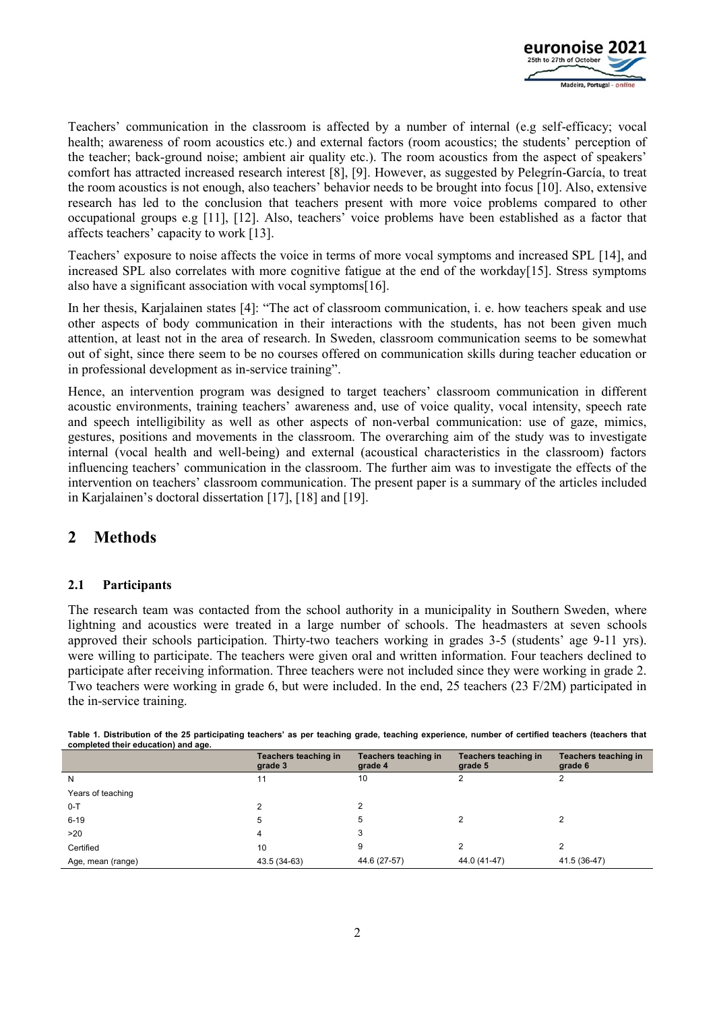

Teachers' communication in the classroom is affected by a number of internal (e.g self-efficacy; vocal health; awareness of room acoustics etc.) and external factors (room acoustics; the students' perception of the teacher; back-ground noise; ambient air quality etc.). The room acoustics from the aspect of speakers' comfort has attracted increased research interest [8], [9]. However, as suggested by Pelegrín-García, to treat the room acoustics is not enough, also teachers' behavior needs to be brought into focus [10]. Also, extensive research has led to the conclusion that teachers present with more voice problems compared to other occupational groups e.g [11], [12]. Also, teachers' voice problems have been established as a factor that affects teachers' capacity to work [13].

Teachers' exposure to noise affects the voice in terms of more vocal symptoms and increased SPL [14], and increased SPL also correlates with more cognitive fatigue at the end of the workday[15]. Stress symptoms also have a significant association with vocal symptoms[16].

In her thesis, Karjalainen states [4]: "The act of classroom communication, i. e. how teachers speak and use other aspects of body communication in their interactions with the students, has not been given much attention, at least not in the area of research. In Sweden, classroom communication seems to be somewhat out of sight, since there seem to be no courses offered on communication skills during teacher education or in professional development as in-service training".

Hence, an intervention program was designed to target teachers' classroom communication in different acoustic environments, training teachers' awareness and, use of voice quality, vocal intensity, speech rate and speech intelligibility as well as other aspects of non-verbal communication: use of gaze, mimics, gestures, positions and movements in the classroom. The overarching aim of the study was to investigate internal (vocal health and well-being) and external (acoustical characteristics in the classroom) factors influencing teachers' communication in the classroom. The further aim was to investigate the effects of the intervention on teachers' classroom communication. The present paper is a summary of the articles included in Karjalainen's doctoral dissertation [17], [18] and [19].

## **2 Methods**

### **2.1 Participants**

The research team was contacted from the school authority in a municipality in Southern Sweden, where lightning and acoustics were treated in a large number of schools. The headmasters at seven schools approved their schools participation. Thirty-two teachers working in grades 3-5 (students' age 9-11 yrs). were willing to participate. The teachers were given oral and written information. Four teachers declined to participate after receiving information. Three teachers were not included since they were working in grade 2. Two teachers were working in grade 6, but were included. In the end, 25 teachers (23 F/2M) participated in the in-service training.

| completed their education) and age. |                                 |                                 |                                 |                                 |
|-------------------------------------|---------------------------------|---------------------------------|---------------------------------|---------------------------------|
|                                     | Teachers teaching in<br>grade 3 | Teachers teaching in<br>grade 4 | Teachers teaching in<br>grade 5 | Teachers teaching in<br>grade 6 |
| N                                   | 11                              | 10                              |                                 |                                 |
| Years of teaching                   |                                 |                                 |                                 |                                 |
| $0 - T$                             |                                 |                                 |                                 |                                 |
| $6 - 19$                            | 5                               | 5                               |                                 |                                 |
| >20                                 | 4                               | 3                               |                                 |                                 |
| Certified                           | 10                              | 9                               |                                 |                                 |
| Age, mean (range)                   | 43.5 (34-63)                    | 44.6 (27-57)                    | 44.0 (41-47)                    | 41.5 (36-47)                    |
|                                     |                                 |                                 |                                 |                                 |

**Table 1. Distribution of the 25 participating teachers' as per teaching grade, teaching experience, number of certified teachers (teachers that completed their education) and age.**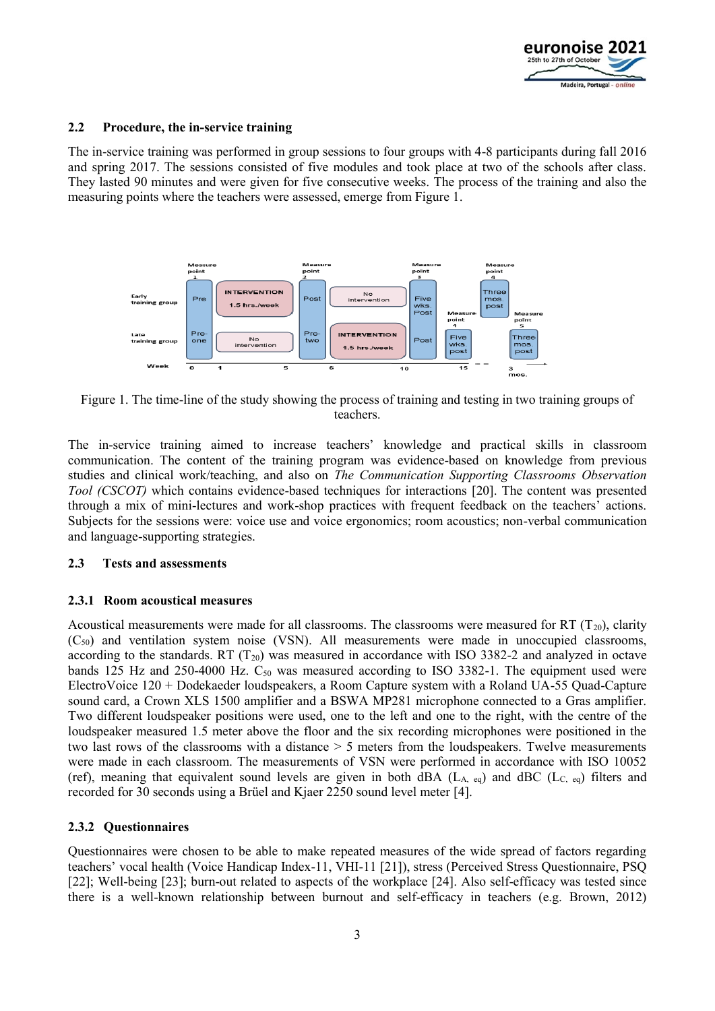

#### **2.2 Procedure, the in-service training**

The in-service training was performed in group sessions to four groups with 4-8 participants during fall 2016 and spring 2017. The sessions consisted of five modules and took place at two of the schools after class. They lasted 90 minutes and were given for five consecutive weeks. The process of the training and also the measuring points where the teachers were assessed, emerge from Figure 1.



Figure 1. The time-line of the study showing the process of training and testing in two training groups of teachers.

The in-service training aimed to increase teachers' knowledge and practical skills in classroom communication. The content of the training program was evidence-based on knowledge from previous studies and clinical work/teaching, and also on *The Communication Supporting Classrooms Observation Tool (CSCOT)* which contains evidence-based techniques for interactions [20]. The content was presented through a mix of mini-lectures and work-shop practices with frequent feedback on the teachers' actions. Subjects for the sessions were: voice use and voice ergonomics; room acoustics; non-verbal communication and language-supporting strategies.

#### **2.3 Tests and assessments**

#### **2.3.1 Room acoustical measures**

Acoustical measurements were made for all classrooms. The classrooms were measured for RT  $(T_{20})$ , clarity  $(C_{50})$  and ventilation system noise (VSN). All measurements were made in unoccupied classrooms, according to the standards. RT  $(T_{20})$  was measured in accordance with ISO 3382-2 and analyzed in octave bands 125 Hz and 250-4000 Hz.  $C_{50}$  was measured according to ISO 3382-1. The equipment used were ElectroVoice 120 + Dodekaeder loudspeakers, a Room Capture system with a Roland UA-55 Quad-Capture sound card, a Crown XLS 1500 amplifier and a BSWA MP281 microphone connected to a Gras amplifier. Two different loudspeaker positions were used, one to the left and one to the right, with the centre of the loudspeaker measured 1.5 meter above the floor and the six recording microphones were positioned in the two last rows of the classrooms with a distance > 5 meters from the loudspeakers. Twelve measurements were made in each classroom. The measurements of VSN were performed in accordance with ISO 10052 (ref), meaning that equivalent sound levels are given in both dBA ( $L_A$ , eq) and dBC ( $L_C$ , eq) filters and recorded for 30 seconds using a Brüel and Kjaer 2250 sound level meter [4].

### **2.3.2 Questionnaires**

Questionnaires were chosen to be able to make repeated measures of the wide spread of factors regarding teachers' vocal health (Voice Handicap Index-11, VHI-11 [21]), stress (Perceived Stress Questionnaire, PSQ [22]; Well-being [23]; burn-out related to aspects of the workplace [24]. Also self-efficacy was tested since there is a well-known relationship between burnout and self-efficacy in teachers (e.g. Brown, 2012)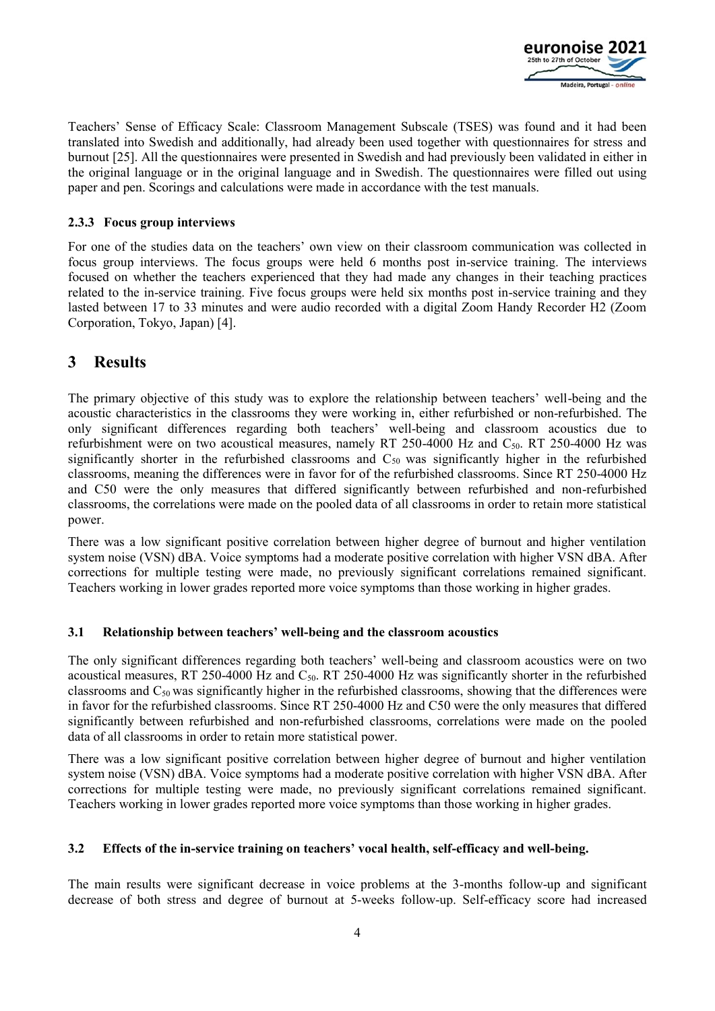

Teachers' Sense of Efficacy Scale: Classroom Management Subscale (TSES) was found and it had been translated into Swedish and additionally, had already been used together with questionnaires for stress and burnout [25]. All the questionnaires were presented in Swedish and had previously been validated in either in the original language or in the original language and in Swedish. The questionnaires were filled out using paper and pen. Scorings and calculations were made in accordance with the test manuals.

### **2.3.3 Focus group interviews**

For one of the studies data on the teachers' own view on their classroom communication was collected in focus group interviews. The focus groups were held 6 months post in-service training. The interviews focused on whether the teachers experienced that they had made any changes in their teaching practices related to the in-service training. Five focus groups were held six months post in-service training and they lasted between 17 to 33 minutes and were audio recorded with a digital Zoom Handy Recorder H2 (Zoom Corporation, Tokyo, Japan) [4].

## **3 Results**

The primary objective of this study was to explore the relationship between teachers' well-being and the acoustic characteristics in the classrooms they were working in, either refurbished or non-refurbished. The only significant differences regarding both teachers' well-being and classroom acoustics due to refurbishment were on two acoustical measures, namely RT 250-4000 Hz and C50. RT 250-4000 Hz was significantly shorter in the refurbished classrooms and  $C_{50}$  was significantly higher in the refurbished classrooms, meaning the differences were in favor for of the refurbished classrooms. Since RT 250-4000 Hz and C50 were the only measures that differed significantly between refurbished and non-refurbished classrooms, the correlations were made on the pooled data of all classrooms in order to retain more statistical power.

There was a low significant positive correlation between higher degree of burnout and higher ventilation system noise (VSN) dBA. Voice symptoms had a moderate positive correlation with higher VSN dBA. After corrections for multiple testing were made, no previously significant correlations remained significant. Teachers working in lower grades reported more voice symptoms than those working in higher grades.

### **3.1 Relationship between teachers' well-being and the classroom acoustics**

The only significant differences regarding both teachers' well-being and classroom acoustics were on two acoustical measures, RT 250-4000 Hz and C50. RT 250-4000 Hz was significantly shorter in the refurbished classrooms and  $C_{50}$  was significantly higher in the refurbished classrooms, showing that the differences were in favor for the refurbished classrooms. Since RT 250-4000 Hz and C50 were the only measures that differed significantly between refurbished and non-refurbished classrooms, correlations were made on the pooled data of all classrooms in order to retain more statistical power.

There was a low significant positive correlation between higher degree of burnout and higher ventilation system noise (VSN) dBA. Voice symptoms had a moderate positive correlation with higher VSN dBA. After corrections for multiple testing were made, no previously significant correlations remained significant. Teachers working in lower grades reported more voice symptoms than those working in higher grades.

### **3.2 Effects of the in-service training on teachers' vocal health, self-efficacy and well-being.**

The main results were significant decrease in voice problems at the 3-months follow-up and significant decrease of both stress and degree of burnout at 5-weeks follow-up. Self-efficacy score had increased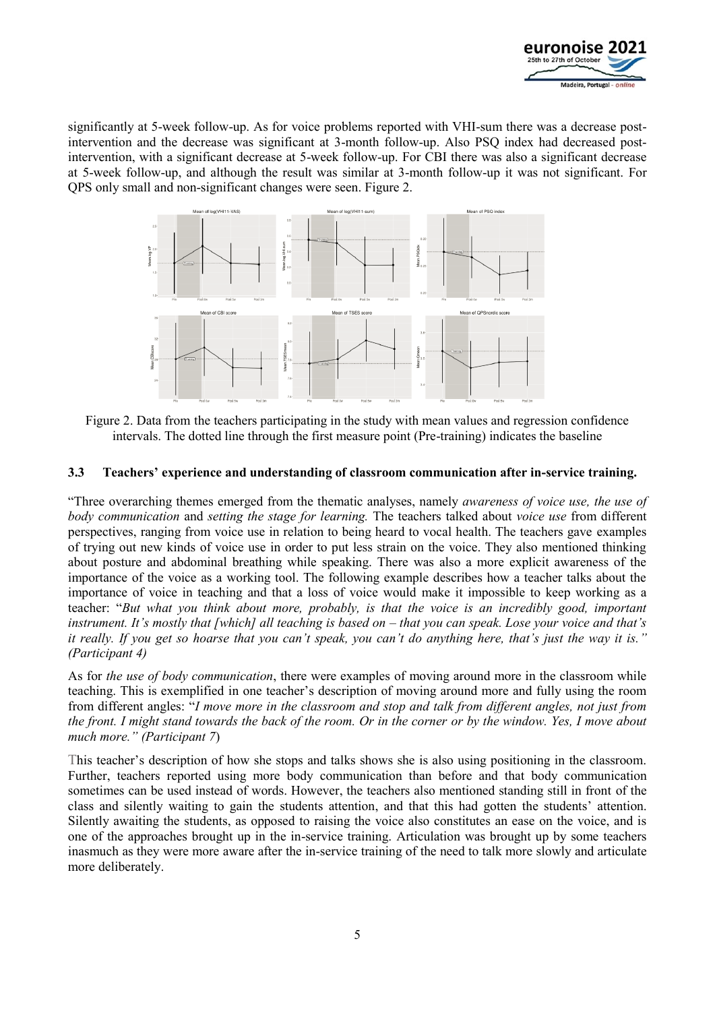

significantly at 5-week follow-up. As for voice problems reported with VHI-sum there was a decrease postintervention and the decrease was significant at 3-month follow-up. Also PSQ index had decreased postintervention, with a significant decrease at 5-week follow-up. For CBI there was also a significant decrease at 5-week follow-up, and although the result was similar at 3-month follow-up it was not significant. For QPS only small and non-significant changes were seen. Figure 2.



Figure 2. Data from the teachers participating in the study with mean values and regression confidence intervals. The dotted line through the first measure point (Pre-training) indicates the baseline

### **3.3 Teachers' experience and understanding of classroom communication after in-service training.**

"Three overarching themes emerged from the thematic analyses, namely *awareness of voice use, the use of body communication* and *setting the stage for learning.* The teachers talked about *voice use* from different perspectives, ranging from voice use in relation to being heard to vocal health. The teachers gave examples of trying out new kinds of voice use in order to put less strain on the voice. They also mentioned thinking about posture and abdominal breathing while speaking. There was also a more explicit awareness of the importance of the voice as a working tool. The following example describes how a teacher talks about the importance of voice in teaching and that a loss of voice would make it impossible to keep working as a teacher: "*But what you think about more, probably, is that the voice is an incredibly good, important instrument. It's mostly that [which] all teaching is based on – that you can speak. Lose your voice and that's it really. If you get so hoarse that you can't speak, you can't do anything here, that's just the way it is." (Participant 4)*

As for *the use of body communication*, there were examples of moving around more in the classroom while teaching. This is exemplified in one teacher's description of moving around more and fully using the room from different angles: "*I move more in the classroom and stop and talk from different angles, not just from the front. I might stand towards the back of the room. Or in the corner or by the window. Yes, I move about much more." (Participant 7*)

This teacher's description of how she stops and talks shows she is also using positioning in the classroom. Further, teachers reported using more body communication than before and that body communication sometimes can be used instead of words. However, the teachers also mentioned standing still in front of the class and silently waiting to gain the students attention, and that this had gotten the students' attention. Silently awaiting the students, as opposed to raising the voice also constitutes an ease on the voice, and is one of the approaches brought up in the in-service training. Articulation was brought up by some teachers inasmuch as they were more aware after the in-service training of the need to talk more slowly and articulate more deliberately.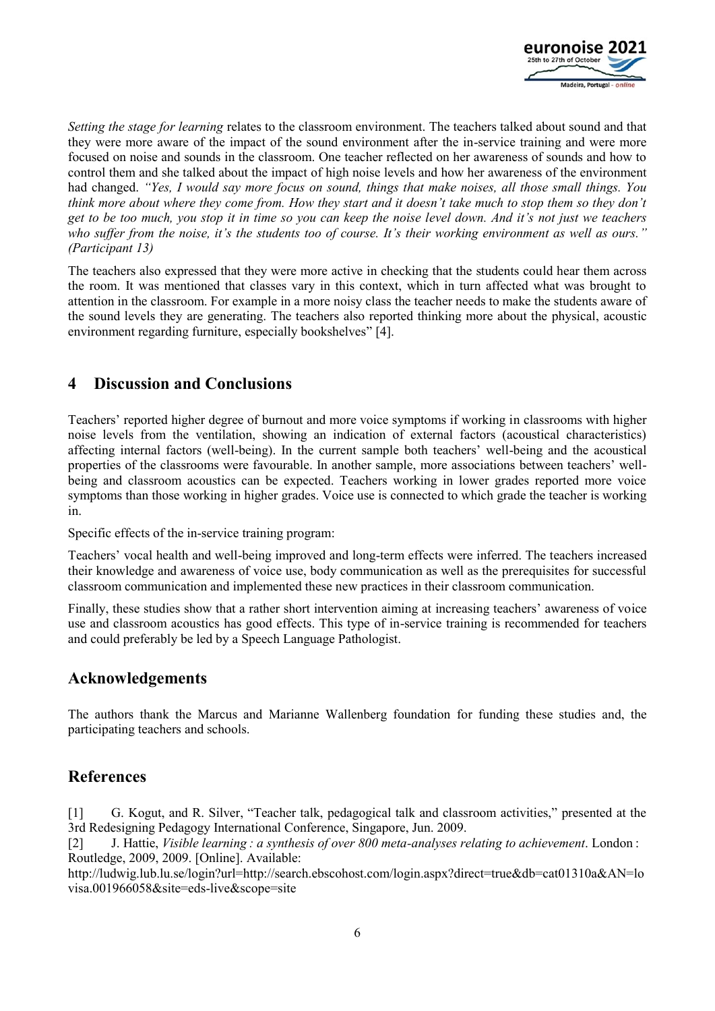

*Setting the stage for learning* relates to the classroom environment. The teachers talked about sound and that they were more aware of the impact of the sound environment after the in-service training and were more focused on noise and sounds in the classroom. One teacher reflected on her awareness of sounds and how to control them and she talked about the impact of high noise levels and how her awareness of the environment had changed. *"Yes, I would say more focus on sound, things that make noises, all those small things. You think more about where they come from. How they start and it doesn't take much to stop them so they don't get to be too much, you stop it in time so you can keep the noise level down. And it's not just we teachers who suffer from the noise, it's the students too of course. It's their working environment as well as ours." (Participant 13)*

The teachers also expressed that they were more active in checking that the students could hear them across the room. It was mentioned that classes vary in this context, which in turn affected what was brought to attention in the classroom. For example in a more noisy class the teacher needs to make the students aware of the sound levels they are generating. The teachers also reported thinking more about the physical, acoustic environment regarding furniture, especially bookshelves" [4].

# **4 Discussion and Conclusions**

Teachers' reported higher degree of burnout and more voice symptoms if working in classrooms with higher noise levels from the ventilation, showing an indication of external factors (acoustical characteristics) affecting internal factors (well-being). In the current sample both teachers' well-being and the acoustical properties of the classrooms were favourable. In another sample, more associations between teachers' wellbeing and classroom acoustics can be expected. Teachers working in lower grades reported more voice symptoms than those working in higher grades. Voice use is connected to which grade the teacher is working in.

Specific effects of the in-service training program:

Teachers' vocal health and well-being improved and long-term effects were inferred. The teachers increased their knowledge and awareness of voice use, body communication as well as the prerequisites for successful classroom communication and implemented these new practices in their classroom communication.

Finally, these studies show that a rather short intervention aiming at increasing teachers' awareness of voice use and classroom acoustics has good effects. This type of in-service training is recommended for teachers and could preferably be led by a Speech Language Pathologist.

## **Acknowledgements**

The authors thank the Marcus and Marianne Wallenberg foundation for funding these studies and, the participating teachers and schools.

# **References**

[1] G. Kogut, and R. Silver, "Teacher talk, pedagogical talk and classroom activities," presented at the 3rd Redesigning Pedagogy International Conference, Singapore, Jun. 2009.

[2] J. Hattie, *Visible learning : a synthesis of over 800 meta-analyses relating to achievement*. London : Routledge, 2009, 2009. [Online]. Available:

http://ludwig.lub.lu.se/login?url=http://search.ebscohost.com/login.aspx?direct=true&db=cat01310a&AN=lo visa.001966058&site=eds-live&scope=site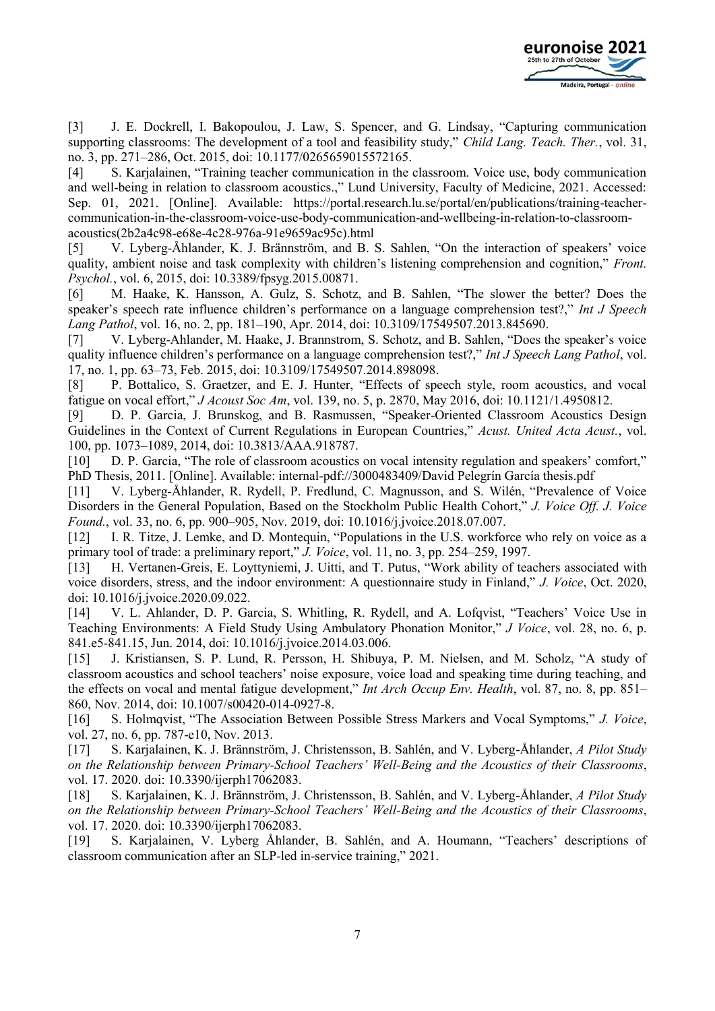

[3] J. E. Dockrell, I. Bakopoulou, J. Law, S. Spencer, and G. Lindsay, "Capturing communication supporting classrooms: The development of a tool and feasibility study," *Child Lang. Teach. Ther.*, vol. 31, no. 3, pp. 271–286, Oct. 2015, doi: 10.1177/0265659015572165.

[4] S. Karjalainen, "Training teacher communication in the classroom. Voice use, body communication and well-being in relation to classroom acoustics.," Lund University, Faculty of Medicine, 2021. Accessed: Sep. 01, 2021. [Online]. Available: https://portal.research.lu.se/portal/en/publications/training-teachercommunication-in-the-classroom-voice-use-body-communication-and-wellbeing-in-relation-to-classroomacoustics(2b2a4c98-e68e-4c28-976a-91e9659ac95c).html

[5] V. Lyberg-Åhlander, K. J. Brännström, and B. S. Sahlen, "On the interaction of speakers' voice quality, ambient noise and task complexity with children's listening comprehension and cognition," *Front. Psychol.*, vol. 6, 2015, doi: 10.3389/fpsyg.2015.00871.

[6] M. Haake, K. Hansson, A. Gulz, S. Schotz, and B. Sahlen, "The slower the better? Does the speaker's speech rate influence children's performance on a language comprehension test?," *Int J Speech Lang Pathol*, vol. 16, no. 2, pp. 181–190, Apr. 2014, doi: 10.3109/17549507.2013.845690.

[7] V. Lyberg-Ahlander, M. Haake, J. Brannstrom, S. Schotz, and B. Sahlen, "Does the speaker's voice quality influence children's performance on a language comprehension test?," *Int J Speech Lang Pathol*, vol. 17, no. 1, pp. 63–73, Feb. 2015, doi: 10.3109/17549507.2014.898098.

[8] P. Bottalico, S. Graetzer, and E. J. Hunter, "Effects of speech style, room acoustics, and vocal fatigue on vocal effort," *J Acoust Soc Am*, vol. 139, no. 5, p. 2870, May 2016, doi: 10.1121/1.4950812.

[9] D. P. Garcia, J. Brunskog, and B. Rasmussen, "Speaker-Oriented Classroom Acoustics Design Guidelines in the Context of Current Regulations in European Countries," *Acust. United Acta Acust.*, vol. 100, pp. 1073–1089, 2014, doi: 10.3813/AAA.918787.

[10] D. P. Garcia, "The role of classroom acoustics on vocal intensity regulation and speakers' comfort," PhD Thesis, 2011. [Online]. Available: internal-pdf://3000483409/David Pelegrín García thesis.pdf

[11] V. Lyberg-Åhlander, R. Rydell, P. Fredlund, C. Magnusson, and S. Wilén, "Prevalence of Voice Disorders in the General Population, Based on the Stockholm Public Health Cohort," *J. Voice Off. J. Voice Found.*, vol. 33, no. 6, pp. 900–905, Nov. 2019, doi: 10.1016/j.jvoice.2018.07.007.

[12] I. R. Titze, J. Lemke, and D. Montequin, "Populations in the U.S. workforce who rely on voice as a primary tool of trade: a preliminary report," *J. Voice*, vol. 11, no. 3, pp. 254–259, 1997.

[13] H. Vertanen-Greis, E. Loyttyniemi, J. Uitti, and T. Putus, "Work ability of teachers associated with voice disorders, stress, and the indoor environment: A questionnaire study in Finland," *J. Voice*, Oct. 2020, doi: 10.1016/j.jvoice.2020.09.022.

[14] V. L. Ahlander, D. P. Garcia, S. Whitling, R. Rydell, and A. Lofqvist, "Teachers' Voice Use in Teaching Environments: A Field Study Using Ambulatory Phonation Monitor," *J Voice*, vol. 28, no. 6, p. 841.e5-841.15, Jun. 2014, doi: 10.1016/j.jvoice.2014.03.006.

[15] J. Kristiansen, S. P. Lund, R. Persson, H. Shibuya, P. M. Nielsen, and M. Scholz, "A study of classroom acoustics and school teachers' noise exposure, voice load and speaking time during teaching, and the effects on vocal and mental fatigue development," *Int Arch Occup Env. Health*, vol. 87, no. 8, pp. 851– 860, Nov. 2014, doi: 10.1007/s00420-014-0927-8.

[16] S. Holmqvist, "The Association Between Possible Stress Markers and Vocal Symptoms," *J. Voice*, vol. 27, no. 6, pp. 787-e10, Nov. 2013.

[17] S. Karjalainen, K. J. Brännström, J. Christensson, B. Sahlén, and V. Lyberg-Åhlander, *A Pilot Study on the Relationship between Primary-School Teachers' Well-Being and the Acoustics of their Classrooms*, vol. 17. 2020. doi: 10.3390/ijerph17062083.

[18] S. Karjalainen, K. J. Brännström, J. Christensson, B. Sahlén, and V. Lyberg-Åhlander, *A Pilot Study on the Relationship between Primary-School Teachers' Well-Being and the Acoustics of their Classrooms*, vol. 17. 2020. doi: 10.3390/ijerph17062083.

[19] S. Karjalainen, V. Lyberg Åhlander, B. Sahlén, and A. Houmann, "Teachers' descriptions of classroom communication after an SLP-led in-service training," 2021.